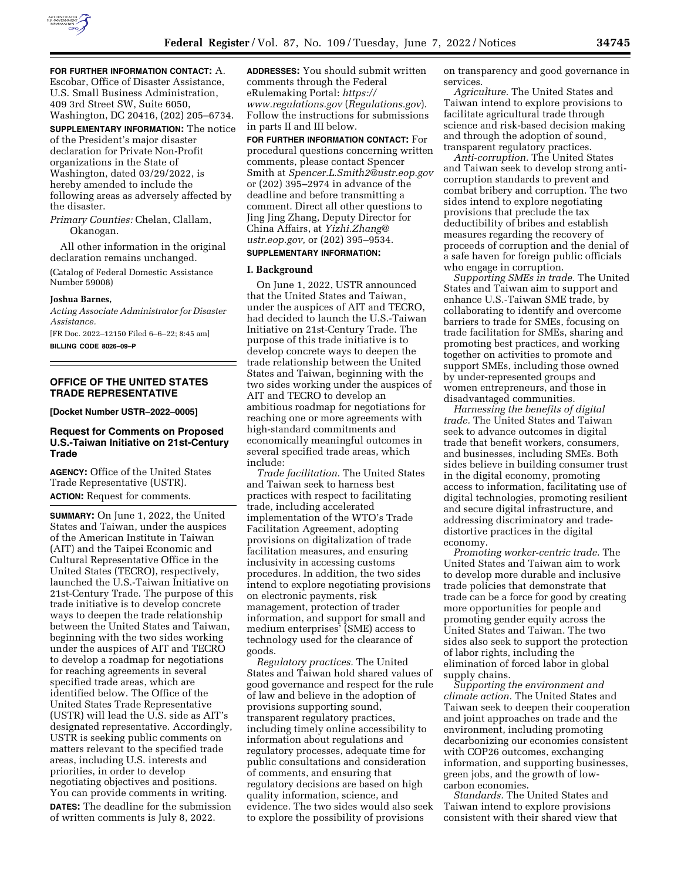

**FOR FURTHER INFORMATION CONTACT:** A. Escobar, Office of Disaster Assistance, U.S. Small Business Administration, 409 3rd Street SW, Suite 6050,

Washington, DC 20416, (202) 205–6734. **SUPPLEMENTARY INFORMATION:** The notice of the President's major disaster declaration for Private Non-Profit organizations in the State of Washington, dated 03/29/2022, is hereby amended to include the following areas as adversely affected by the disaster.

*Primary Counties:* Chelan, Clallam, Okanogan.

All other information in the original declaration remains unchanged.

(Catalog of Federal Domestic Assistance Number 59008)

#### **Joshua Barnes,**

*Acting Associate Administrator for Disaster Assistance.* 

[FR Doc. 2022–12150 Filed 6–6–22; 8:45 am] **BILLING CODE 8026–09–P** 

# **OFFICE OF THE UNITED STATES TRADE REPRESENTATIVE**

**[Docket Number USTR–2022–0005]** 

# **Request for Comments on Proposed U.S.-Taiwan Initiative on 21st-Century Trade**

**AGENCY:** Office of the United States Trade Representative (USTR). **ACTION:** Request for comments.

**SUMMARY:** On June 1, 2022, the United States and Taiwan, under the auspices of the American Institute in Taiwan (AIT) and the Taipei Economic and Cultural Representative Office in the United States (TECRO), respectively, launched the U.S.-Taiwan Initiative on 21st-Century Trade. The purpose of this trade initiative is to develop concrete ways to deepen the trade relationship between the United States and Taiwan, beginning with the two sides working under the auspices of AIT and TECRO to develop a roadmap for negotiations for reaching agreements in several specified trade areas, which are identified below. The Office of the United States Trade Representative (USTR) will lead the U.S. side as AIT's designated representative. Accordingly, USTR is seeking public comments on matters relevant to the specified trade areas, including U.S. interests and priorities, in order to develop negotiating objectives and positions. You can provide comments in writing. **DATES:** The deadline for the submission of written comments is July 8, 2022.

**ADDRESSES:** You should submit written comments through the Federal eRulemaking Portal: *[https://](https://www.regulations.gov) [www.regulations.gov](https://www.regulations.gov)* (*Regulations.gov*). Follow the instructions for submissions in parts II and III below.

**FOR FURTHER INFORMATION CONTACT:** For procedural questions concerning written comments, please contact Spencer Smith at *[Spencer.L.Smith2@ustr.eop.gov](mailto:Spencer.L.Smith2@ustr.eop.gov)*  or (202) 395–2974 in advance of the deadline and before transmitting a comment. Direct all other questions to Jing Jing Zhang, Deputy Director for China Affairs, at *[Yizhi.Zhang@](mailto:Yizhi.Zhang@ustr.eop.gov) [ustr.eop.gov,](mailto:Yizhi.Zhang@ustr.eop.gov)* or (202) 395–9534.

#### **SUPPLEMENTARY INFORMATION:**

# **I. Background**

On June 1, 2022, USTR announced that the United States and Taiwan, under the auspices of AIT and TECRO, had decided to launch the U.S.-Taiwan Initiative on 21st-Century Trade. The purpose of this trade initiative is to develop concrete ways to deepen the trade relationship between the United States and Taiwan, beginning with the two sides working under the auspices of AIT and TECRO to develop an ambitious roadmap for negotiations for reaching one or more agreements with high-standard commitments and economically meaningful outcomes in several specified trade areas, which include:

*Trade facilitation.* The United States and Taiwan seek to harness best practices with respect to facilitating trade, including accelerated implementation of the WTO's Trade Facilitation Agreement, adopting provisions on digitalization of trade facilitation measures, and ensuring inclusivity in accessing customs procedures. In addition, the two sides intend to explore negotiating provisions on electronic payments, risk management, protection of trader information, and support for small and medium enterprises' (SME) access to technology used for the clearance of goods.

*Regulatory practices.* The United States and Taiwan hold shared values of good governance and respect for the rule of law and believe in the adoption of provisions supporting sound, transparent regulatory practices, including timely online accessibility to information about regulations and regulatory processes, adequate time for public consultations and consideration of comments, and ensuring that regulatory decisions are based on high quality information, science, and evidence. The two sides would also seek to explore the possibility of provisions

on transparency and good governance in services.

*Agriculture.* The United States and Taiwan intend to explore provisions to facilitate agricultural trade through science and risk-based decision making and through the adoption of sound, transparent regulatory practices.

*Anti-corruption.* The United States and Taiwan seek to develop strong anticorruption standards to prevent and combat bribery and corruption. The two sides intend to explore negotiating provisions that preclude the tax deductibility of bribes and establish measures regarding the recovery of proceeds of corruption and the denial of a safe haven for foreign public officials who engage in corruption.

*Supporting SMEs in trade.* The United States and Taiwan aim to support and enhance U.S.-Taiwan SME trade, by collaborating to identify and overcome barriers to trade for SMEs, focusing on trade facilitation for SMEs, sharing and promoting best practices, and working together on activities to promote and support SMEs, including those owned by under-represented groups and women entrepreneurs, and those in disadvantaged communities.

*Harnessing the benefits of digital trade.* The United States and Taiwan seek to advance outcomes in digital trade that benefit workers, consumers, and businesses, including SMEs. Both sides believe in building consumer trust in the digital economy, promoting access to information, facilitating use of digital technologies, promoting resilient and secure digital infrastructure, and addressing discriminatory and tradedistortive practices in the digital economy.

*Promoting worker-centric trade.* The United States and Taiwan aim to work to develop more durable and inclusive trade policies that demonstrate that trade can be a force for good by creating more opportunities for people and promoting gender equity across the United States and Taiwan. The two sides also seek to support the protection of labor rights, including the elimination of forced labor in global supply chains.

*Supporting the environment and climate action.* The United States and Taiwan seek to deepen their cooperation and joint approaches on trade and the environment, including promoting decarbonizing our economies consistent with COP26 outcomes, exchanging information, and supporting businesses, green jobs, and the growth of lowcarbon economies.

*Standards.* The United States and Taiwan intend to explore provisions consistent with their shared view that